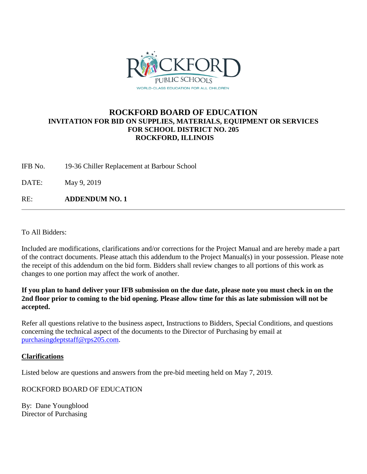

## **ROCKFORD BOARD OF EDUCATION INVITATION FOR BID ON SUPPLIES, MATERIALS, EQUIPMENT OR SERVICES FOR SCHOOL DISTRICT NO. 205 ROCKFORD, ILLINOIS**

IFB No. 19-36 Chiller Replacement at Barbour School

DATE: May 9, 2019

RE: **ADDENDUM NO. 1**

To All Bidders:

Included are modifications, clarifications and/or corrections for the Project Manual and are hereby made a part of the contract documents. Please attach this addendum to the Project Manual(s) in your possession. Please note the receipt of this addendum on the bid form. Bidders shall review changes to all portions of this work as changes to one portion may affect the work of another.

**If you plan to hand deliver your IFB submission on the due date, please note you must check in on the 2nd floor prior to coming to the bid opening. Please allow time for this as late submission will not be accepted.**

Refer all questions relative to the business aspect, Instructions to Bidders, Special Conditions, and questions concerning the technical aspect of the documents to the Director of Purchasing by email at [purchasingdeptstaff@rps205.com.](mailto:purchasingdeptstaff@rps205.com)

## **Clarifications**

Listed below are questions and answers from the pre-bid meeting held on May 7, 2019.

ROCKFORD BOARD OF EDUCATION

By: Dane Youngblood Director of Purchasing